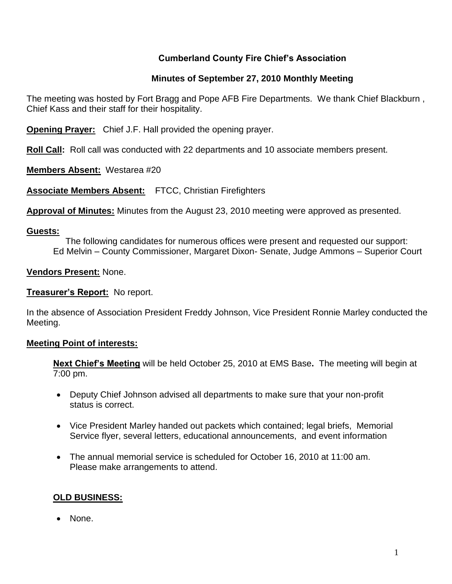# **Cumberland County Fire Chief's Association**

# **Minutes of September 27, 2010 Monthly Meeting**

The meeting was hosted by Fort Bragg and Pope AFB Fire Departments. We thank Chief Blackburn , Chief Kass and their staff for their hospitality.

**Opening Prayer:** Chief J.F. Hall provided the opening prayer.

**Roll Call:** Roll call was conducted with 22 departments and 10 associate members present.

**Members Absent:** Westarea #20

**Associate Members Absent:** FTCC, Christian Firefighters

**Approval of Minutes:** Minutes from the August 23, 2010 meeting were approved as presented.

#### **Guests:**

 The following candidates for numerous offices were present and requested our support: Ed Melvin – County Commissioner, Margaret Dixon- Senate, Judge Ammons – Superior Court

**Vendors Present:** None.

# **Treasurer's Report:** No report.

In the absence of Association President Freddy Johnson, Vice President Ronnie Marley conducted the Meeting.

# **Meeting Point of interests:**

**Next Chief's Meeting** will be held October 25, 2010 at EMS Base**.** The meeting will begin at 7:00 pm.

- Deputy Chief Johnson advised all departments to make sure that your non-profit status is correct.
- Vice President Marley handed out packets which contained; legal briefs, Memorial Service flyer, several letters, educational announcements, and event information
- The annual memorial service is scheduled for October 16, 2010 at 11:00 am. Please make arrangements to attend.

# **OLD BUSINESS:**

• None.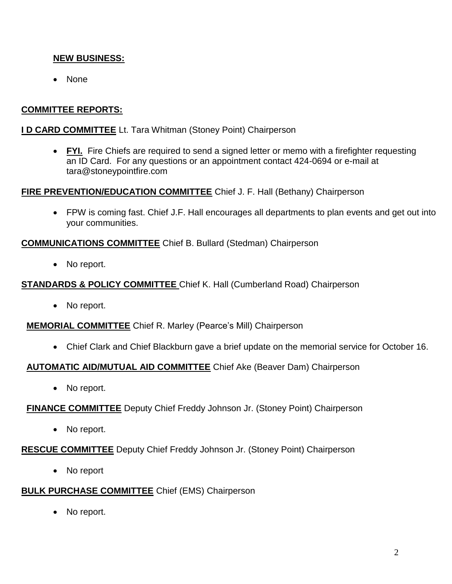# **NEW BUSINESS:**

• None

# **COMMITTEE REPORTS:**

### **I D CARD COMMITTEE** Lt. Tara Whitman (Stoney Point) Chairperson

 **FYI.** Fire Chiefs are required to send a signed letter or memo with a firefighter requesting an ID Card. For any questions or an appointment contact 424-0694 or e-mail at [tara@stoneypointfire.com](mailto:tara@stoneypointfire.com)

# **FIRE PREVENTION/EDUCATION COMMITTEE** Chief J. F. Hall (Bethany) Chairperson

 FPW is coming fast. Chief J.F. Hall encourages all departments to plan events and get out into your communities.

#### **COMMUNICATIONS COMMITTEE** Chief B. Bullard (Stedman) Chairperson

• No report.

#### **STANDARDS & POLICY COMMITTEE** Chief K. Hall (Cumberland Road) Chairperson

• No report.

# **MEMORIAL COMMITTEE** Chief R. Marley (Pearce's Mill) Chairperson

Chief Clark and Chief Blackburn gave a brief update on the memorial service for October 16.

# **AUTOMATIC AID/MUTUAL AID COMMITTEE** Chief Ake (Beaver Dam) Chairperson

• No report.

#### **FINANCE COMMITTEE** Deputy Chief Freddy Johnson Jr. (Stoney Point) Chairperson

• No report.

# **RESCUE COMMITTEE** Deputy Chief Freddy Johnson Jr. (Stoney Point) Chairperson

• No report

# **BULK PURCHASE COMMITTEE** Chief (EMS) Chairperson

• No report.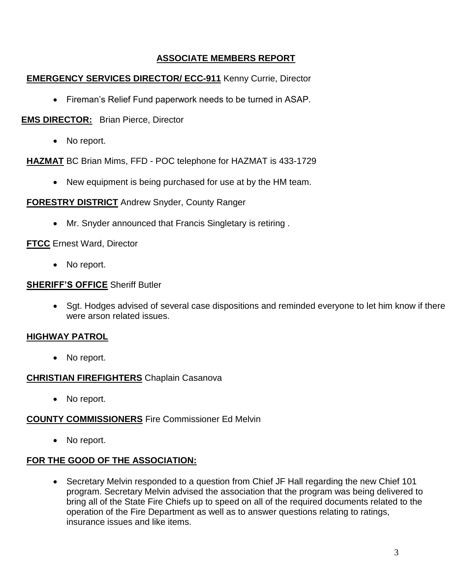# **ASSOCIATE MEMBERS REPORT**

# **EMERGENCY SERVICES DIRECTOR/ ECC-911** Kenny Currie, Director

Fireman's Relief Fund paperwork needs to be turned in ASAP.

# **EMS DIRECTOR:** Brian Pierce, Director

• No report.

**HAZMAT** BC Brian Mims, FFD - POC telephone for HAZMAT is 433-1729

New equipment is being purchased for use at by the HM team.

# **FORESTRY DISTRICT** Andrew Snyder, County Ranger

Mr. Snyder announced that Francis Singletary is retiring .

# **FTCC** Ernest Ward, Director

• No report.

# **SHERIFF'S OFFICE** Sheriff Butler

 Sgt. Hodges advised of several case dispositions and reminded everyone to let him know if there were arson related issues.

# **HIGHWAY PATROL**

• No report.

# **CHRISTIAN FIREFIGHTERS** Chaplain Casanova

• No report.

# **COUNTY COMMISSIONERS** Fire Commissioner Ed Melvin

• No report.

# **FOR THE GOOD OF THE ASSOCIATION:**

• Secretary Melvin responded to a question from Chief JF Hall regarding the new Chief 101 program. Secretary Melvin advised the association that the program was being delivered to bring all of the State Fire Chiefs up to speed on all of the required documents related to the operation of the Fire Department as well as to answer questions relating to ratings, insurance issues and like items.